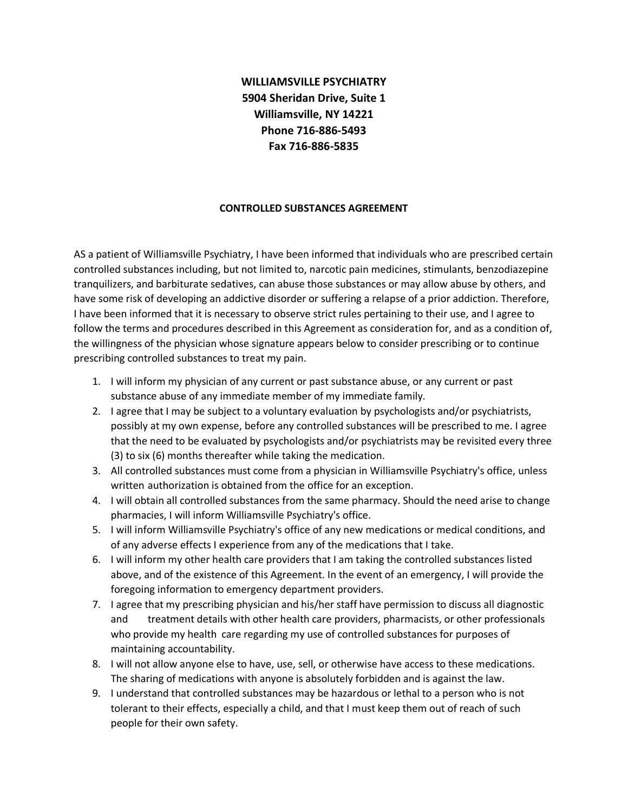## **WILLIAMSVILLE PSYCHIATRY 5904 Sheridan Drive, Suite 1 Williamsville, NY 14221 Phone 716-886-5493 Fax 716-886-5835**

## **CONTROLLED SUBSTANCES AGREEMENT**

AS a patient of Williamsville Psychiatry, I have been informed that individuals who are prescribed certain controlled substances including, but not limited to, narcotic pain medicines, stimulants, benzodiazepine tranquilizers, and barbiturate sedatives, can abuse those substances or may allow abuse by others, and have some risk of developing an addictive disorder or suffering a relapse of a prior addiction. Therefore, I have been informed that it is necessary to observe strict rules pertaining to their use, and I agree to follow the terms and procedures described in this Agreement as consideration for, and as a condition of, the willingness of the physician whose signature appears below to consider prescribing or to continue prescribing controlled substances to treat my pain.

- 1. I will inform my physician of any current or past substance abuse, or any current or past substance abuse of any immediate member of my immediate family.
- 2. I agree that I may be subject to a voluntary evaluation by psychologists and/or psychiatrists, possibly at my own expense, before any controlled substances will be prescribed to me. I agree that the need to be evaluated by psychologists and/or psychiatrists may be revisited every three (3) to six (6) months thereafter while taking the medication.
- 3. All controlled substances must come from a physician in Williamsville Psychiatry's office, unless written authorization is obtained from the office for an exception.
- 4. I will obtain all controlled substances from the same pharmacy. Should the need arise to change pharmacies, I will inform Williamsville Psychiatry's office.
- 5. I will inform Williamsville Psychiatry's office of any new medications or medical conditions, and of any adverse effects I experience from any of the medications that I take.
- 6. I will inform my other health care providers that I am taking the controlled substances listed above, and of the existence of this Agreement. In the event of an emergency, I will provide the foregoing information to emergency department providers.
- 7. I agree that my prescribing physician and his/her staff have permission to discuss all diagnostic and treatment details with other health care providers, pharmacists, or other professionals who provide my health care regarding my use of controlled substances for purposes of maintaining accountability.
- 8. I will not allow anyone else to have, use, sell, or otherwise have access to these medications. The sharing of medications with anyone is absolutely forbidden and is against the law.
- 9. I understand that controlled substances may be hazardous or lethal to a person who is not tolerant to their effects, especially a child, and that I must keep them out of reach of such people for their own safety.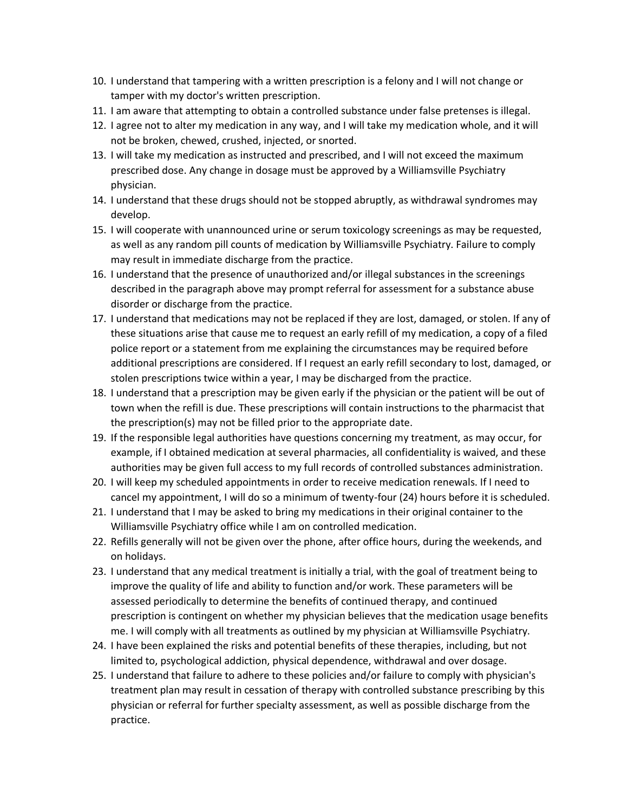- 10. I understand that tampering with a written prescription is a felony and I will not change or tamper with my doctor's written prescription.
- 11. I am aware that attempting to obtain a controlled substance under false pretenses is illegal.
- 12. I agree not to alter my medication in any way, and I will take my medication whole, and it will not be broken, chewed, crushed, injected, or snorted.
- 13. I will take my medication as instructed and prescribed, and I will not exceed the maximum prescribed dose. Any change in dosage must be approved by a Williamsville Psychiatry physician.
- 14. I understand that these drugs should not be stopped abruptly, as withdrawal syndromes may develop.
- 15. I will cooperate with unannounced urine or serum toxicology screenings as may be requested, as well as any random pill counts of medication by Williamsville Psychiatry. Failure to comply may result in immediate discharge from the practice.
- 16. I understand that the presence of unauthorized and/or illegal substances in the screenings described in the paragraph above may prompt referral for assessment for a substance abuse disorder or discharge from the practice.
- 17. I understand that medications may not be replaced if they are lost, damaged, or stolen. If any of these situations arise that cause me to request an early refill of my medication, a copy of a filed police report or a statement from me explaining the circumstances may be required before additional prescriptions are considered. If I request an early refill secondary to lost, damaged, or stolen prescriptions twice within a year, I may be discharged from the practice.
- 18. I understand that a prescription may be given early if the physician or the patient will be out of town when the refill is due. These prescriptions will contain instructions to the pharmacist that the prescription(s) may not be filled prior to the appropriate date.
- 19. If the responsible legal authorities have questions concerning my treatment, as may occur, for example, if I obtained medication at several pharmacies, all confidentiality is waived, and these authorities may be given full access to my full records of controlled substances administration.
- 20. I will keep my scheduled appointments in order to receive medication renewals. If I need to cancel my appointment, I will do so a minimum of twenty-four (24) hours before it is scheduled.
- 21. I understand that I may be asked to bring my medications in their original container to the Williamsville Psychiatry office while I am on controlled medication.
- 22. Refills generally will not be given over the phone, after office hours, during the weekends, and on holidays.
- 23. I understand that any medical treatment is initially a trial, with the goal of treatment being to improve the quality of life and ability to function and/or work. These parameters will be assessed periodically to determine the benefits of continued therapy, and continued prescription is contingent on whether my physician believes that the medication usage benefits me. I will comply with all treatments as outlined by my physician at Williamsville Psychiatry.
- 24. I have been explained the risks and potential benefits of these therapies, including, but not limited to, psychological addiction, physical dependence, withdrawal and over dosage.
- 25. I understand that failure to adhere to these policies and/or failure to comply with physician's treatment plan may result in cessation of therapy with controlled substance prescribing by this physician or referral for further specialty assessment, as well as possible discharge from the practice.